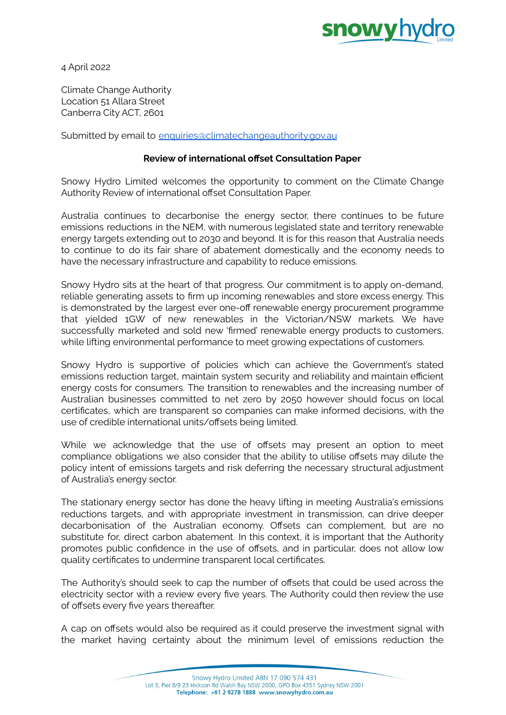

4 April 2022

Climate Change Authority Location 51 Allara Street Canberra City ACT, 2601

Submitted by email to [enquiries@climatechangeauthority.gov.au](mailto:enquiries@climatechangeauthority.gov.au)

## **Review of international offset Consultation Paper**

Snowy Hydro Limited welcomes the opportunity to comment on the Climate Change Authority Review of international offset Consultation Paper.

Australia continues to decarbonise the energy sector, there continues to be future emissions reductions in the NEM, with numerous legislated state and territory renewable energy targets extending out to 2030 and beyond. It is for this reason that Australia needs to continue to do its fair share of abatement domestically and the economy needs to have the necessary infrastructure and capability to reduce emissions.

Snowy Hydro sits at the heart of that progress. Our commitment is to apply on-demand, reliable generating assets to firm up incoming renewables and store excess energy. This is demonstrated by the largest ever one-off renewable energy procurement programme that yielded 1GW of new renewables in the Victorian/NSW markets. We have successfully marketed and sold new 'firmed' renewable energy products to customers, while lifting environmental performance to meet growing expectations of customers.

Snowy Hydro is supportive of policies which can achieve the Government's stated emissions reduction target, maintain system security and reliability and maintain efficient energy costs for consumers. The transition to renewables and the increasing number of Australian businesses committed to net zero by 2050 however should focus on local certificates, which are transparent so companies can make informed decisions, with the use of credible international units/offsets being limited.

While we acknowledge that the use of offsets may present an option to meet compliance obligations we also consider that the ability to utilise offsets may dilute the policy intent of emissions targets and risk deferring the necessary structural adjustment of Australia's energy sector.

The stationary energy sector has done the heavy lifting in meeting Australia's emissions reductions targets, and with appropriate investment in transmission, can drive deeper decarbonisation of the Australian economy. Offsets can complement, but are no substitute for, direct carbon abatement. In this context, it is important that the Authority promotes public confidence in the use of offsets, and in particular, does not allow low quality certificates to undermine transparent local certificates.

The Authority's should seek to cap the number of offsets that could be used across the electricity sector with a review every five years. The Authority could then review the use of offsets every five years thereafter.

A cap on offsets would also be required as it could preserve the investment signal with the market having certainty about the minimum level of emissions reduction the